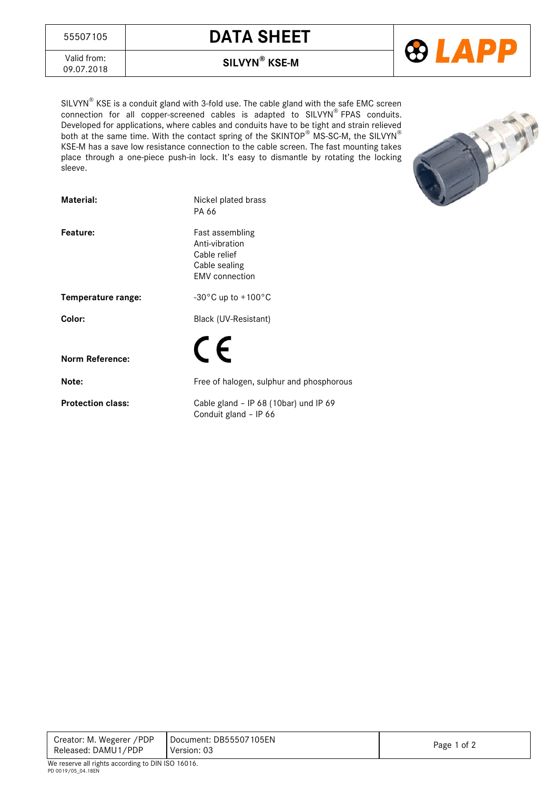



Valid from:<br>09.07.2018

09.07.2018 **SILVYN® KSE-M**

SILVYN® KSE is a conduit gland with 3-fold use. The cable gland with the safe EMC screen connection for all copper-screened cables is adapted to SILVYN® FPAS conduits. Developed for applications, where cables and conduits have to be tight and strain relieved both at the same time. With the contact spring of the SKINTOP $^\circ$  MS-SC-M, the SILVYN $^\circ$ KSE-M has a save low resistance connection to the cable screen. The fast mounting takes place through a one-piece push-in lock. It's easy to dismantle by rotating the locking sleeve.



| Material:                | Nickel plated brass<br>PA 66                                                                |  |  |  |
|--------------------------|---------------------------------------------------------------------------------------------|--|--|--|
| Feature:                 | Fast assembling<br>Anti-vibration<br>Cable relief<br>Cable sealing<br><b>EMV</b> connection |  |  |  |
| Temperature range:       | -30 $^{\circ}$ C up to +100 $^{\circ}$ C                                                    |  |  |  |
| Color:                   | Black (UV-Resistant)                                                                        |  |  |  |
| <b>Norm Reference:</b>   | $\epsilon$                                                                                  |  |  |  |
| Note:                    | Free of halogen, sulphur and phosphorous                                                    |  |  |  |
| <b>Protection class:</b> | Cable gland - IP 68 (10bar) und IP 69<br>Conduit gland - IP 66                              |  |  |  |

Creator: M. Wegerer /PDP Released: DAMU1/PDP Document: DB55507105EN Version: 03 Page 1 of 2